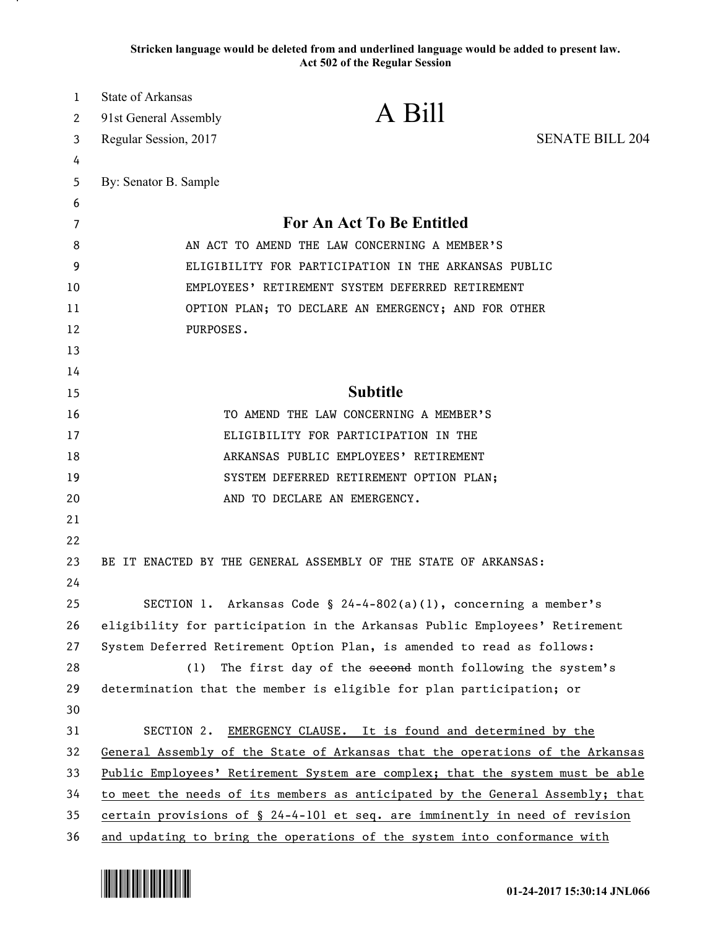**Stricken language would be deleted from and underlined language would be added to present law. Act 502 of the Regular Session**

| 1  | <b>State of Arkansas</b>                             |                                                                               |                        |
|----|------------------------------------------------------|-------------------------------------------------------------------------------|------------------------|
| 2  | 91st General Assembly                                | A Bill                                                                        |                        |
| 3  | Regular Session, 2017                                |                                                                               | <b>SENATE BILL 204</b> |
| 4  |                                                      |                                                                               |                        |
| 5  | By: Senator B. Sample                                |                                                                               |                        |
| 6  |                                                      |                                                                               |                        |
| 7  | For An Act To Be Entitled                            |                                                                               |                        |
| 8  | AN ACT TO AMEND THE LAW CONCERNING A MEMBER'S        |                                                                               |                        |
| 9  | ELIGIBILITY FOR PARTICIPATION IN THE ARKANSAS PUBLIC |                                                                               |                        |
| 10 | EMPLOYEES' RETIREMENT SYSTEM DEFERRED RETIREMENT     |                                                                               |                        |
| 11 | OPTION PLAN; TO DECLARE AN EMERGENCY; AND FOR OTHER  |                                                                               |                        |
| 12 | PURPOSES.                                            |                                                                               |                        |
| 13 |                                                      |                                                                               |                        |
| 14 |                                                      |                                                                               |                        |
| 15 |                                                      | <b>Subtitle</b>                                                               |                        |
| 16 |                                                      | TO AMEND THE LAW CONCERNING A MEMBER'S                                        |                        |
| 17 |                                                      | ELIGIBILITY FOR PARTICIPATION IN THE                                          |                        |
| 18 |                                                      | ARKANSAS PUBLIC EMPLOYEES' RETIREMENT                                         |                        |
| 19 |                                                      | SYSTEM DEFERRED RETIREMENT OPTION PLAN;                                       |                        |
| 20 |                                                      | AND TO DECLARE AN EMERGENCY.                                                  |                        |
| 21 |                                                      |                                                                               |                        |
| 22 |                                                      |                                                                               |                        |
| 23 |                                                      | BE IT ENACTED BY THE GENERAL ASSEMBLY OF THE STATE OF ARKANSAS:               |                        |
| 24 |                                                      |                                                                               |                        |
| 25 |                                                      | SECTION 1. Arkansas Code § 24-4-802(a)(1), concerning a member's              |                        |
| 26 |                                                      | eligibility for participation in the Arkansas Public Employees' Retirement    |                        |
| 27 |                                                      | System Deferred Retirement Option Plan, is amended to read as follows:        |                        |
| 28 | (1)                                                  | The first day of the second month following the system's                      |                        |
| 29 |                                                      | determination that the member is eligible for plan participation; or          |                        |
| 30 |                                                      |                                                                               |                        |
| 31 | SECTION 2.                                           | EMERGENCY CLAUSE. It is found and determined by the                           |                        |
| 32 |                                                      | General Assembly of the State of Arkansas that the operations of the Arkansas |                        |
| 33 |                                                      | Public Employees' Retirement System are complex; that the system must be able |                        |
| 34 |                                                      | to meet the needs of its members as anticipated by the General Assembly; that |                        |
| 35 |                                                      | certain provisions of § 24-4-101 et seq. are imminently in need of revision   |                        |
| 36 |                                                      | and updating to bring the operations of the system into conformance with      |                        |